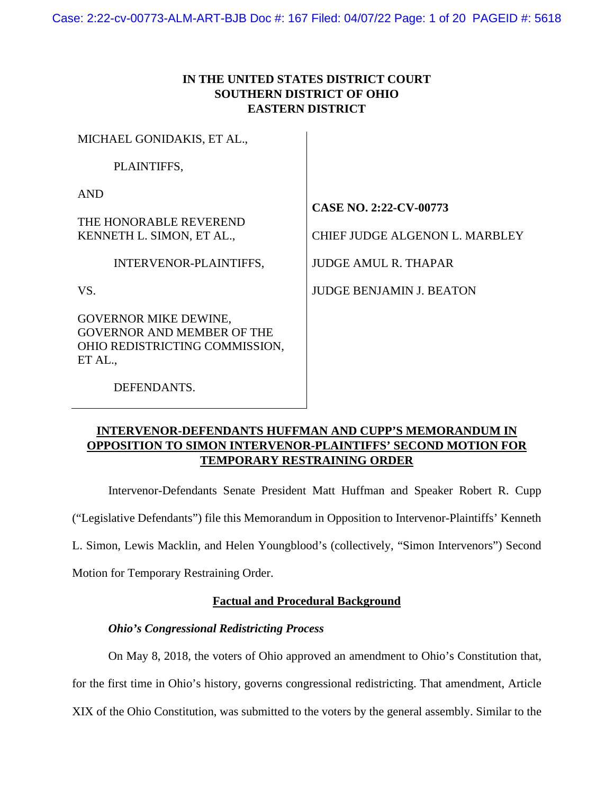# **IN THE UNITED STATES DISTRICT COURT SOUTHERN DISTRICT OF OHIO EASTERN DISTRICT**

| MICHAEL GONIDAKIS, ET AL.,                                                                                     |                                                                                                |
|----------------------------------------------------------------------------------------------------------------|------------------------------------------------------------------------------------------------|
| PLAINTIFFS,                                                                                                    |                                                                                                |
| <b>AND</b><br>THE HONORABLE REVEREND<br>KENNETH L. SIMON, ET AL.,<br>INTERVENOR-PLAINTIFFS,                    | <b>CASE NO. 2:22-CV-00773</b><br>CHIEF JUDGE ALGENON L. MARBLEY<br><b>JUDGE AMUL R. THAPAR</b> |
| VS.                                                                                                            | <b>JUDGE BENJAMIN J. BEATON</b>                                                                |
| <b>GOVERNOR MIKE DEWINE,</b><br><b>GOVERNOR AND MEMBER OF THE</b><br>OHIO REDISTRICTING COMMISSION,<br>ET AL., |                                                                                                |
| DEFENDANTS.                                                                                                    |                                                                                                |

# **INTERVENOR-DEFENDANTS HUFFMAN AND CUPP'S MEMORANDUM IN OPPOSITION TO SIMON INTERVENOR-PLAINTIFFS' SECOND MOTION FOR TEMPORARY RESTRAINING ORDER**

Intervenor-Defendants Senate President Matt Huffman and Speaker Robert R. Cupp

("Legislative Defendants") file this Memorandum in Opposition to Intervenor-Plaintiffs' Kenneth

L. Simon, Lewis Macklin, and Helen Youngblood's (collectively, "Simon Intervenors") Second

Motion for Temporary Restraining Order.

# **Factual and Procedural Background**

# *Ohio's Congressional Redistricting Process*

On May 8, 2018, the voters of Ohio approved an amendment to Ohio's Constitution that, for the first time in Ohio's history, governs congressional redistricting. That amendment, Article XIX of the Ohio Constitution, was submitted to the voters by the general assembly. Similar to the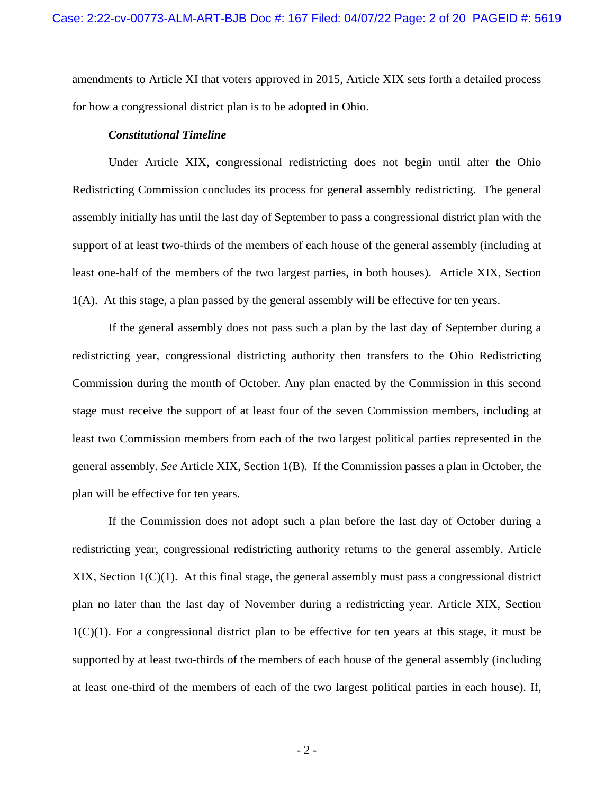amendments to Article XI that voters approved in 2015, Article XIX sets forth a detailed process for how a congressional district plan is to be adopted in Ohio.

#### *Constitutional Timeline*

Under Article XIX, congressional redistricting does not begin until after the Ohio Redistricting Commission concludes its process for general assembly redistricting. The general assembly initially has until the last day of September to pass a congressional district plan with the support of at least two-thirds of the members of each house of the general assembly (including at least one-half of the members of the two largest parties, in both houses). Article XIX, Section 1(A). At this stage, a plan passed by the general assembly will be effective for ten years.

If the general assembly does not pass such a plan by the last day of September during a redistricting year, congressional districting authority then transfers to the Ohio Redistricting Commission during the month of October. Any plan enacted by the Commission in this second stage must receive the support of at least four of the seven Commission members, including at least two Commission members from each of the two largest political parties represented in the general assembly. *See* Article XIX, Section 1(B). If the Commission passes a plan in October, the plan will be effective for ten years.

If the Commission does not adopt such a plan before the last day of October during a redistricting year, congressional redistricting authority returns to the general assembly. Article XIX, Section 1(C)(1). At this final stage, the general assembly must pass a congressional district plan no later than the last day of November during a redistricting year. Article XIX, Section  $1(C)(1)$ . For a congressional district plan to be effective for ten years at this stage, it must be supported by at least two-thirds of the members of each house of the general assembly (including at least one-third of the members of each of the two largest political parties in each house). If,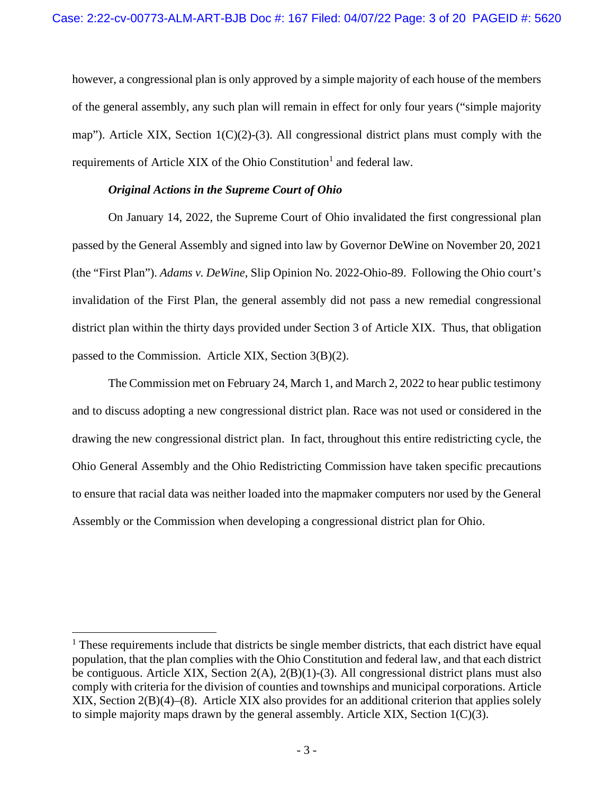however, a congressional plan is only approved by a simple majority of each house of the members of the general assembly, any such plan will remain in effect for only four years ("simple majority map"). Article XIX, Section 1(C)(2)-(3). All congressional district plans must comply with the requirements of Article XIX of the Ohio Constitution<sup>1</sup> and federal law.

### *Original Actions in the Supreme Court of Ohio*

On January 14, 2022, the Supreme Court of Ohio invalidated the first congressional plan passed by the General Assembly and signed into law by Governor DeWine on November 20, 2021 (the "First Plan"). *Adams v. DeWine*, Slip Opinion No. 2022-Ohio-89. Following the Ohio court's invalidation of the First Plan, the general assembly did not pass a new remedial congressional district plan within the thirty days provided under Section 3 of Article XIX. Thus, that obligation passed to the Commission. Article XIX, Section 3(B)(2).

The Commission met on February 24, March 1, and March 2, 2022 to hear public testimony and to discuss adopting a new congressional district plan. Race was not used or considered in the drawing the new congressional district plan. In fact, throughout this entire redistricting cycle, the Ohio General Assembly and the Ohio Redistricting Commission have taken specific precautions to ensure that racial data was neither loaded into the mapmaker computers nor used by the General Assembly or the Commission when developing a congressional district plan for Ohio.

<sup>&</sup>lt;sup>1</sup> These requirements include that districts be single member districts, that each district have equal population, that the plan complies with the Ohio Constitution and federal law, and that each district be contiguous. Article XIX, Section  $2(A)$ ,  $2(B)(1)-(3)$ . All congressional district plans must also comply with criteria for the division of counties and townships and municipal corporations. Article XIX, Section 2(B)(4)–(8). Article XIX also provides for an additional criterion that applies solely to simple majority maps drawn by the general assembly. Article XIX, Section 1(C)(3).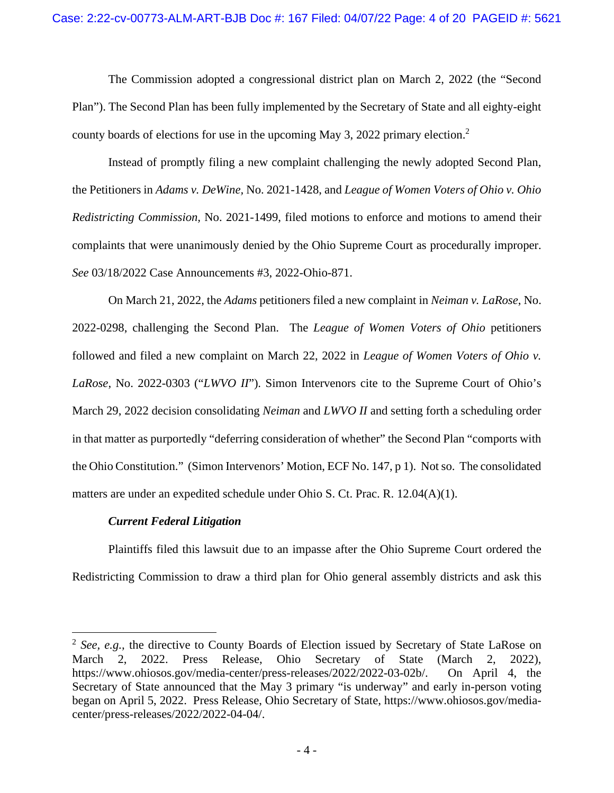The Commission adopted a congressional district plan on March 2, 2022 (the "Second Plan"). The Second Plan has been fully implemented by the Secretary of State and all eighty-eight county boards of elections for use in the upcoming May 3, 2022 primary election.<sup>2</sup>

Instead of promptly filing a new complaint challenging the newly adopted Second Plan, the Petitioners in *Adams v. DeWine,* No. 2021-1428, and *League of Women Voters of Ohio v. Ohio Redistricting Commission,* No. 2021-1499, filed motions to enforce and motions to amend their complaints that were unanimously denied by the Ohio Supreme Court as procedurally improper. *See* 03/18/2022 Case Announcements #3, 2022-Ohio-871.

On March 21, 2022, the *Adams* petitioners filed a new complaint in *Neiman v. LaRose*, No. 2022-0298, challenging the Second Plan. The *League of Women Voters of Ohio* petitioners followed and filed a new complaint on March 22, 2022 in *League of Women Voters of Ohio v. LaRose*, No. 2022-0303 ("*LWVO II*"). Simon Intervenors cite to the Supreme Court of Ohio's March 29, 2022 decision consolidating *Neiman* and *LWVO II* and setting forth a scheduling order in that matter as purportedly "deferring consideration of whether" the Second Plan "comports with the Ohio Constitution." (Simon Intervenors' Motion, ECF No. 147, p 1). Not so. The consolidated matters are under an expedited schedule under Ohio S. Ct. Prac. R. 12.04(A)(1).

## *Current Federal Litigation*

Plaintiffs filed this lawsuit due to an impasse after the Ohio Supreme Court ordered the Redistricting Commission to draw a third plan for Ohio general assembly districts and ask this

<sup>2</sup> *See, e.g.,* the directive to County Boards of Election issued by Secretary of State LaRose on March 2, 2022. Press Release, Ohio Secretary of State (March 2, 2022), https://www.ohiosos.gov/media-center/press-releases/2022/2022-03-02b/. On April 4, the Secretary of State announced that the May 3 primary "is underway" and early in-person voting began on April 5, 2022. Press Release, Ohio Secretary of State, https://www.ohiosos.gov/mediacenter/press-releases/2022/2022-04-04/.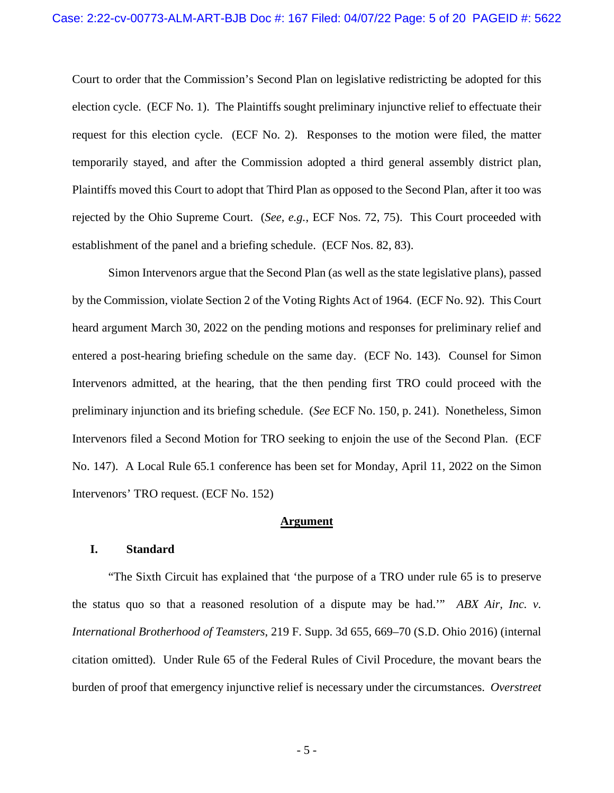Court to order that the Commission's Second Plan on legislative redistricting be adopted for this election cycle. (ECF No. 1). The Plaintiffs sought preliminary injunctive relief to effectuate their request for this election cycle. (ECF No. 2). Responses to the motion were filed, the matter temporarily stayed, and after the Commission adopted a third general assembly district plan, Plaintiffs moved this Court to adopt that Third Plan as opposed to the Second Plan, after it too was rejected by the Ohio Supreme Court. (*See, e.g.*, ECF Nos. 72, 75). This Court proceeded with establishment of the panel and a briefing schedule. (ECF Nos. 82, 83).

Simon Intervenors argue that the Second Plan (as well as the state legislative plans), passed by the Commission, violate Section 2 of the Voting Rights Act of 1964. (ECF No. 92). This Court heard argument March 30, 2022 on the pending motions and responses for preliminary relief and entered a post-hearing briefing schedule on the same day. (ECF No. 143). Counsel for Simon Intervenors admitted, at the hearing, that the then pending first TRO could proceed with the preliminary injunction and its briefing schedule. (*See* ECF No. 150, p. 241). Nonetheless, Simon Intervenors filed a Second Motion for TRO seeking to enjoin the use of the Second Plan. (ECF No. 147). A Local Rule 65.1 conference has been set for Monday, April 11, 2022 on the Simon Intervenors' TRO request. (ECF No. 152)

#### **Argument**

### **I. Standard**

"The Sixth Circuit has explained that 'the purpose of a TRO under rule 65 is to preserve the status quo so that a reasoned resolution of a dispute may be had.'" *ABX Air, Inc. v. International Brotherhood of Teamsters*, 219 F. Supp. 3d 655, 669–70 (S.D. Ohio 2016) (internal citation omitted). Under Rule 65 of the Federal Rules of Civil Procedure, the movant bears the burden of proof that emergency injunctive relief is necessary under the circumstances. *Overstreet*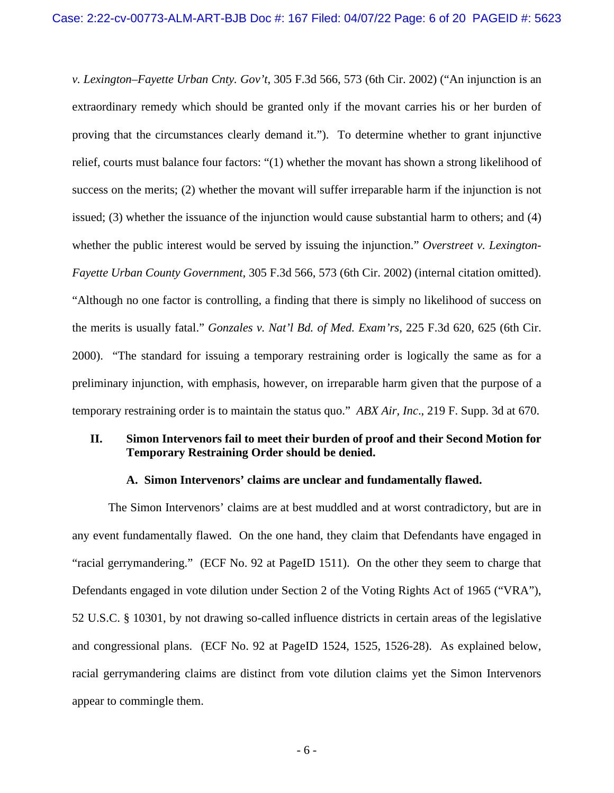*v. Lexington–Fayette Urban Cnty. Gov't*, 305 F.3d 566, 573 (6th Cir. 2002) ("An injunction is an extraordinary remedy which should be granted only if the movant carries his or her burden of proving that the circumstances clearly demand it."). To determine whether to grant injunctive relief, courts must balance four factors: "(1) whether the movant has shown a strong likelihood of success on the merits; (2) whether the movant will suffer irreparable harm if the injunction is not issued; (3) whether the issuance of the injunction would cause substantial harm to others; and (4) whether the public interest would be served by issuing the injunction." *Overstreet v. Lexington-Fayette Urban County Government*, 305 F.3d 566, 573 (6th Cir. 2002) (internal citation omitted). "Although no one factor is controlling, a finding that there is simply no likelihood of success on the merits is usually fatal." *Gonzales v. Nat'l Bd. of Med. Exam'rs*, 225 F.3d 620, 625 (6th Cir. 2000). "The standard for issuing a temporary restraining order is logically the same as for a preliminary injunction, with emphasis, however, on irreparable harm given that the purpose of a temporary restraining order is to maintain the status quo." *ABX Air, Inc*., 219 F. Supp. 3d at 670.

## **II. Simon Intervenors fail to meet their burden of proof and their Second Motion for Temporary Restraining Order should be denied.**

### **A. Simon Intervenors' claims are unclear and fundamentally flawed.**

The Simon Intervenors' claims are at best muddled and at worst contradictory, but are in any event fundamentally flawed. On the one hand, they claim that Defendants have engaged in "racial gerrymandering." (ECF No. 92 at PageID 1511). On the other they seem to charge that Defendants engaged in vote dilution under Section 2 of the Voting Rights Act of 1965 ("VRA"), 52 U.S.C. § 10301, by not drawing so-called influence districts in certain areas of the legislative and congressional plans. (ECF No. 92 at PageID 1524, 1525, 1526-28). As explained below, racial gerrymandering claims are distinct from vote dilution claims yet the Simon Intervenors appear to commingle them.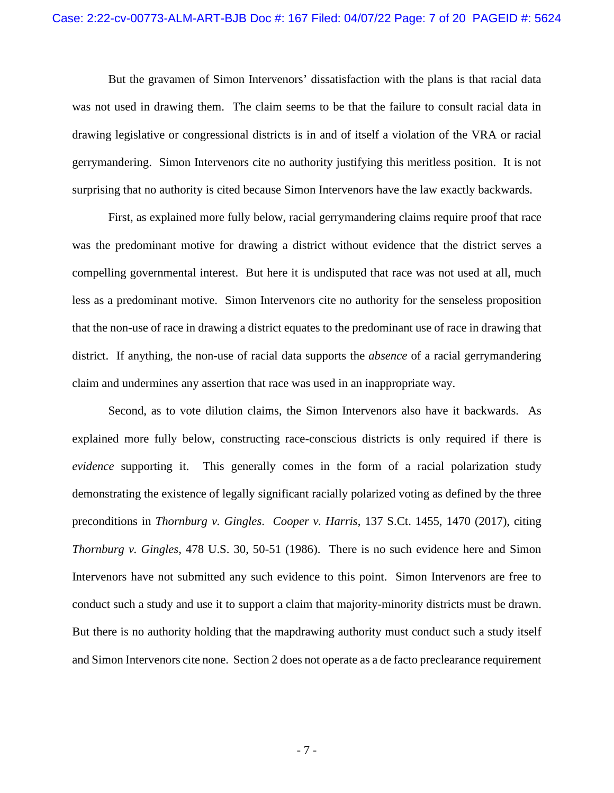But the gravamen of Simon Intervenors' dissatisfaction with the plans is that racial data was not used in drawing them. The claim seems to be that the failure to consult racial data in drawing legislative or congressional districts is in and of itself a violation of the VRA or racial gerrymandering. Simon Intervenors cite no authority justifying this meritless position. It is not surprising that no authority is cited because Simon Intervenors have the law exactly backwards.

First, as explained more fully below, racial gerrymandering claims require proof that race was the predominant motive for drawing a district without evidence that the district serves a compelling governmental interest. But here it is undisputed that race was not used at all, much less as a predominant motive. Simon Intervenors cite no authority for the senseless proposition that the non-use of race in drawing a district equates to the predominant use of race in drawing that district. If anything, the non-use of racial data supports the *absence* of a racial gerrymandering claim and undermines any assertion that race was used in an inappropriate way.

Second, as to vote dilution claims, the Simon Intervenors also have it backwards. As explained more fully below, constructing race-conscious districts is only required if there is *evidence* supporting it. This generally comes in the form of a racial polarization study demonstrating the existence of legally significant racially polarized voting as defined by the three preconditions in *Thornburg v. Gingles*. *Cooper v. Harris*, 137 S.Ct. 1455, 1470 (2017), citing *Thornburg v. Gingles*, 478 U.S. 30, 50-51 (1986). There is no such evidence here and Simon Intervenors have not submitted any such evidence to this point. Simon Intervenors are free to conduct such a study and use it to support a claim that majority-minority districts must be drawn. But there is no authority holding that the mapdrawing authority must conduct such a study itself and Simon Intervenors cite none. Section 2 does not operate as a de facto preclearance requirement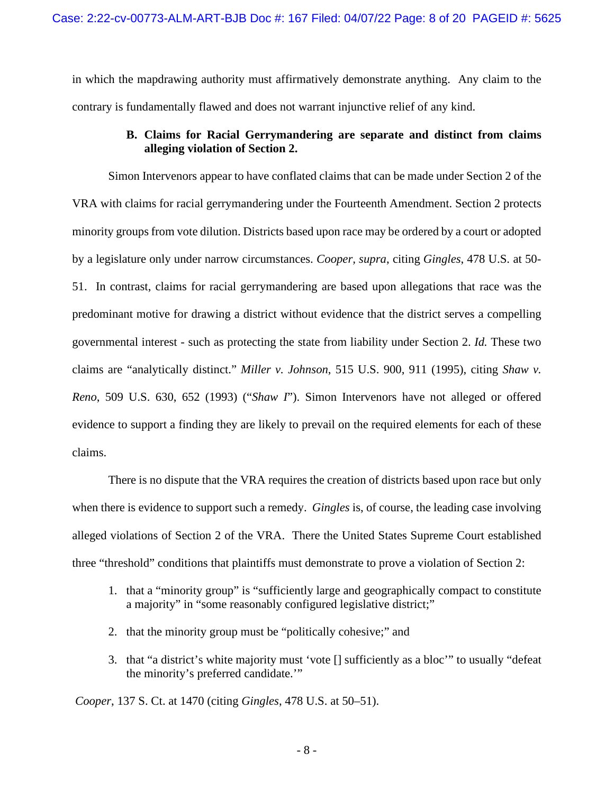in which the mapdrawing authority must affirmatively demonstrate anything. Any claim to the contrary is fundamentally flawed and does not warrant injunctive relief of any kind.

# **B. Claims for Racial Gerrymandering are separate and distinct from claims alleging violation of Section 2.**

Simon Intervenors appear to have conflated claims that can be made under Section 2 of the VRA with claims for racial gerrymandering under the Fourteenth Amendment. Section 2 protects minority groups from vote dilution. Districts based upon race may be ordered by a court or adopted by a legislature only under narrow circumstances. *Cooper, supra*, citing *Gingles*, 478 U.S. at 50- 51. In contrast, claims for racial gerrymandering are based upon allegations that race was the predominant motive for drawing a district without evidence that the district serves a compelling governmental interest - such as protecting the state from liability under Section 2. *Id.* These two claims are "analytically distinct." *Miller v. Johnson*, 515 U.S. 900, 911 (1995), citing *Shaw v. Reno*, 509 U.S. 630, 652 (1993) ("*Shaw I*"). Simon Intervenors have not alleged or offered evidence to support a finding they are likely to prevail on the required elements for each of these claims.

There is no dispute that the VRA requires the creation of districts based upon race but only when there is evidence to support such a remedy. *Gingles* is, of course, the leading case involving alleged violations of Section 2 of the VRA. There the United States Supreme Court established three "threshold" conditions that plaintiffs must demonstrate to prove a violation of Section 2:

- 1. that a "minority group" is "sufficiently large and geographically compact to constitute a majority" in "some reasonably configured legislative district;"
- 2. that the minority group must be "politically cohesive;" and
- 3. that "a district's white majority must 'vote [] sufficiently as a bloc'" to usually "defeat the minority's preferred candidate.'"

*Cooper*, 137 S. Ct. at 1470 (citing *Gingles*, 478 U.S. at 50–51).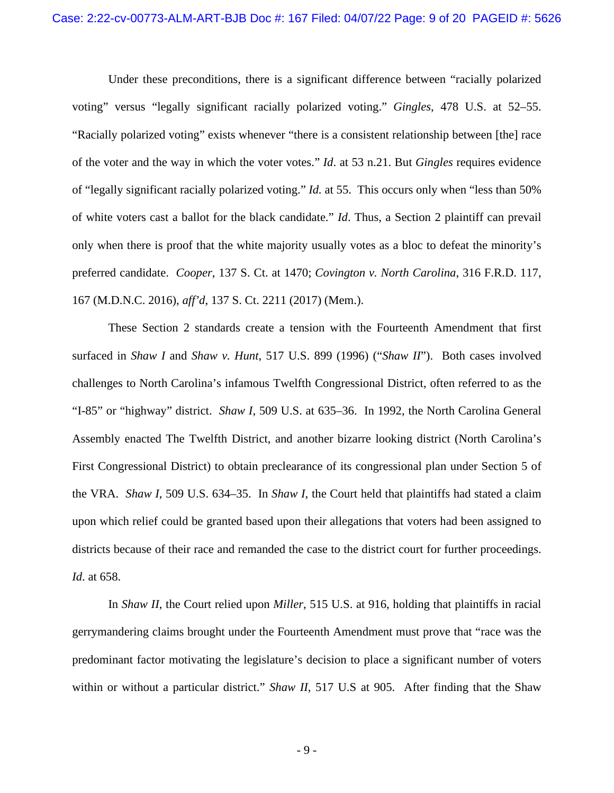Under these preconditions, there is a significant difference between "racially polarized voting" versus "legally significant racially polarized voting." *Gingles*, 478 U.S. at 52–55. "Racially polarized voting" exists whenever "there is a consistent relationship between [the] race of the voter and the way in which the voter votes." *Id*. at 53 n.21. But *Gingles* requires evidence of "legally significant racially polarized voting." *Id.* at 55. This occurs only when "less than 50% of white voters cast a ballot for the black candidate." *Id*. Thus, a Section 2 plaintiff can prevail only when there is proof that the white majority usually votes as a bloc to defeat the minority's preferred candidate. *Cooper*, 137 S. Ct. at 1470; *Covington v. North Carolina*, 316 F.R.D. 117, 167 (M.D.N.C. 2016), *aff'd*, 137 S. Ct. 2211 (2017) (Mem.).

These Section 2 standards create a tension with the Fourteenth Amendment that first surfaced in *Shaw I* and *Shaw v. Hunt*, 517 U.S. 899 (1996) ("*Shaw II*"). Both cases involved challenges to North Carolina's infamous Twelfth Congressional District, often referred to as the "I-85" or "highway" district. *Shaw I*, 509 U.S. at 635–36. In 1992, the North Carolina General Assembly enacted The Twelfth District, and another bizarre looking district (North Carolina's First Congressional District) to obtain preclearance of its congressional plan under Section 5 of the VRA. *Shaw I*, 509 U.S. 634–35. In *Shaw I*, the Court held that plaintiffs had stated a claim upon which relief could be granted based upon their allegations that voters had been assigned to districts because of their race and remanded the case to the district court for further proceedings. *Id*. at 658.

In *Shaw II*, the Court relied upon *Miller*, 515 U.S. at 916, holding that plaintiffs in racial gerrymandering claims brought under the Fourteenth Amendment must prove that "race was the predominant factor motivating the legislature's decision to place a significant number of voters within or without a particular district." *Shaw II*, 517 U.S at 905. After finding that the Shaw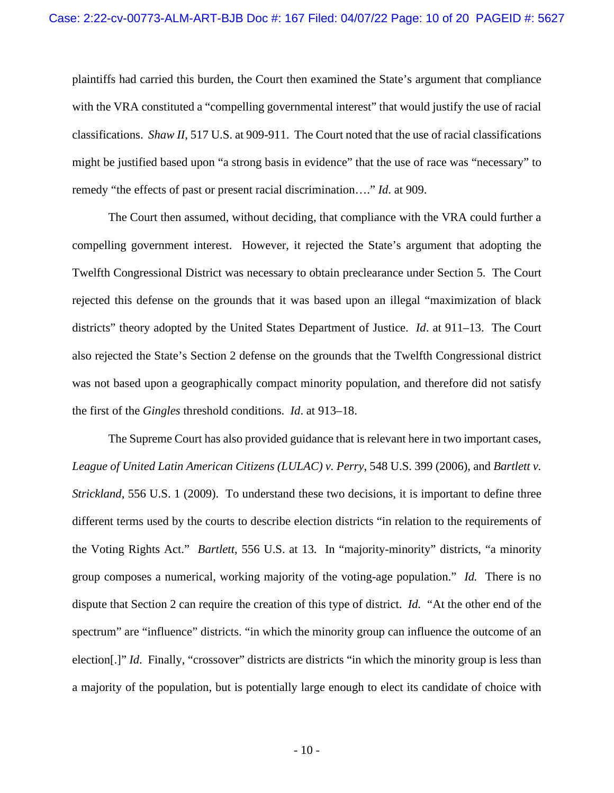plaintiffs had carried this burden, the Court then examined the State's argument that compliance with the VRA constituted a "compelling governmental interest" that would justify the use of racial classifications. *Shaw II*, 517 U.S. at 909-911. The Court noted that the use of racial classifications might be justified based upon "a strong basis in evidence" that the use of race was "necessary" to remedy "the effects of past or present racial discrimination…." *Id*. at 909.

 The Court then assumed, without deciding, that compliance with the VRA could further a compelling government interest. However, it rejected the State's argument that adopting the Twelfth Congressional District was necessary to obtain preclearance under Section 5. The Court rejected this defense on the grounds that it was based upon an illegal "maximization of black districts" theory adopted by the United States Department of Justice. *Id*. at 911–13. The Court also rejected the State's Section 2 defense on the grounds that the Twelfth Congressional district was not based upon a geographically compact minority population, and therefore did not satisfy the first of the *Gingles* threshold conditions. *Id*. at 913–18.

The Supreme Court has also provided guidance that is relevant here in two important cases, *League of United Latin American Citizens (LULAC) v. Perry*, 548 U.S. 399 (2006), and *Bartlett v. Strickland*, 556 U.S. 1 (2009). To understand these two decisions, it is important to define three different terms used by the courts to describe election districts "in relation to the requirements of the Voting Rights Act." *Bartlett*, 556 U.S. at 13. In "majority-minority" districts, "a minority group composes a numerical, working majority of the voting-age population." *Id.* There is no dispute that Section 2 can require the creation of this type of district. *Id.* "At the other end of the spectrum" are "influence" districts. "in which the minority group can influence the outcome of an election[.]" *Id*. Finally, "crossover" districts are districts "in which the minority group is less than a majority of the population, but is potentially large enough to elect its candidate of choice with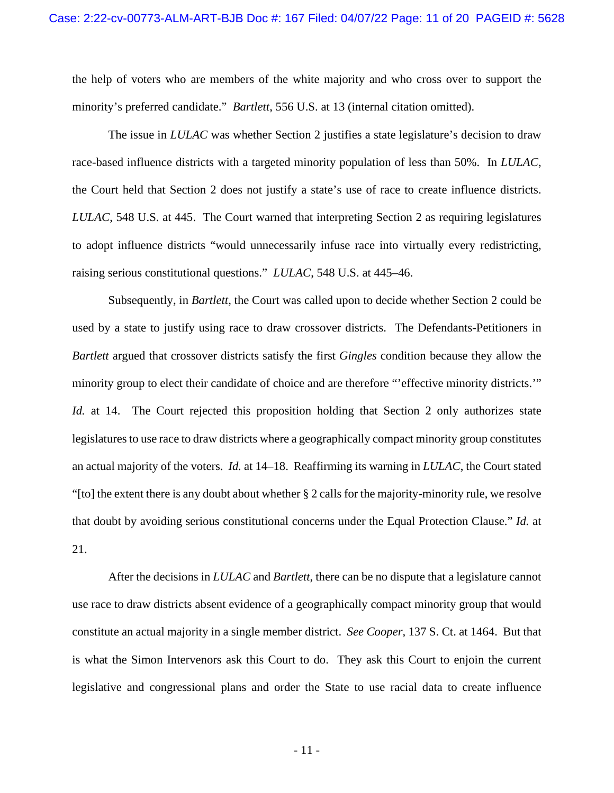the help of voters who are members of the white majority and who cross over to support the minority's preferred candidate." *Bartlett*, 556 U.S. at 13 (internal citation omitted).

The issue in *LULAC* was whether Section 2 justifies a state legislature's decision to draw race-based influence districts with a targeted minority population of less than 50%. In *LULAC*, the Court held that Section 2 does not justify a state's use of race to create influence districts. *LULAC*, 548 U.S. at 445. The Court warned that interpreting Section 2 as requiring legislatures to adopt influence districts "would unnecessarily infuse race into virtually every redistricting, raising serious constitutional questions." *LULAC*, 548 U.S. at 445–46.

Subsequently, in *Bartlett*, the Court was called upon to decide whether Section 2 could be used by a state to justify using race to draw crossover districts. The Defendants-Petitioners in *Bartlett* argued that crossover districts satisfy the first *Gingles* condition because they allow the minority group to elect their candidate of choice and are therefore "'effective minority districts.'" *Id.* at 14. The Court rejected this proposition holding that Section 2 only authorizes state legislatures to use race to draw districts where a geographically compact minority group constitutes an actual majority of the voters. *Id.* at 14–18. Reaffirming its warning in *LULAC*, the Court stated "[to] the extent there is any doubt about whether  $\S 2$  calls for the majority-minority rule, we resolve that doubt by avoiding serious constitutional concerns under the Equal Protection Clause." *Id.* at 21.

After the decisions in *LULAC* and *Bartlett*, there can be no dispute that a legislature cannot use race to draw districts absent evidence of a geographically compact minority group that would constitute an actual majority in a single member district. *See Cooper,* 137 S. Ct. at 1464. But that is what the Simon Intervenors ask this Court to do. They ask this Court to enjoin the current legislative and congressional plans and order the State to use racial data to create influence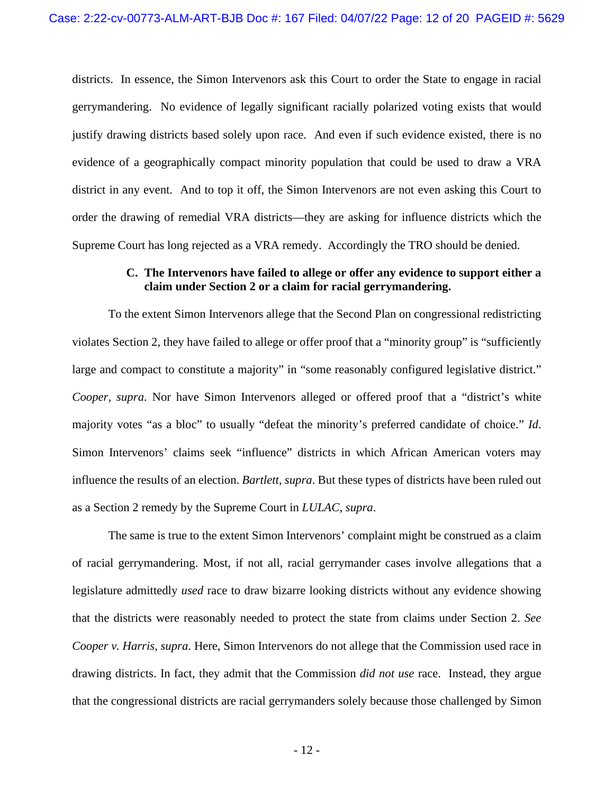districts. In essence, the Simon Intervenors ask this Court to order the State to engage in racial gerrymandering. No evidence of legally significant racially polarized voting exists that would justify drawing districts based solely upon race. And even if such evidence existed, there is no evidence of a geographically compact minority population that could be used to draw a VRA district in any event. And to top it off, the Simon Intervenors are not even asking this Court to order the drawing of remedial VRA districts—they are asking for influence districts which the Supreme Court has long rejected as a VRA remedy. Accordingly the TRO should be denied.

## **C. The Intervenors have failed to allege or offer any evidence to support either a claim under Section 2 or a claim for racial gerrymandering.**

To the extent Simon Intervenors allege that the Second Plan on congressional redistricting violates Section 2, they have failed to allege or offer proof that a "minority group" is "sufficiently large and compact to constitute a majority" in "some reasonably configured legislative district." *Cooper, supra*. Nor have Simon Intervenors alleged or offered proof that a "district's white majority votes "as a bloc" to usually "defeat the minority's preferred candidate of choice." *Id*. Simon Intervenors' claims seek "influence" districts in which African American voters may influence the results of an election. *Bartlett*, *supra*. But these types of districts have been ruled out as a Section 2 remedy by the Supreme Court in *LULAC*, *supra*.

The same is true to the extent Simon Intervenors' complaint might be construed as a claim of racial gerrymandering. Most, if not all, racial gerrymander cases involve allegations that a legislature admittedly *used* race to draw bizarre looking districts without any evidence showing that the districts were reasonably needed to protect the state from claims under Section 2. *See Cooper v. Harris*, *supra*. Here, Simon Intervenors do not allege that the Commission used race in drawing districts. In fact, they admit that the Commission *did not use* race. Instead, they argue that the congressional districts are racial gerrymanders solely because those challenged by Simon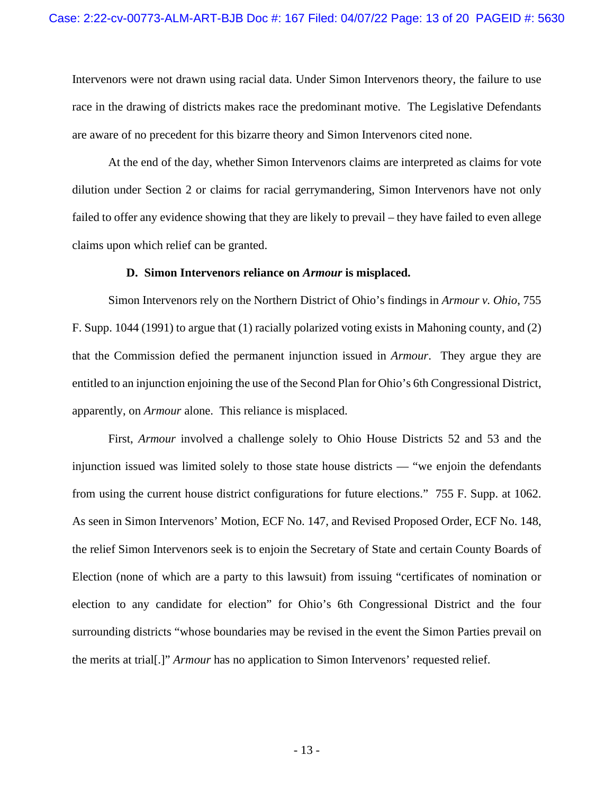Intervenors were not drawn using racial data. Under Simon Intervenors theory, the failure to use race in the drawing of districts makes race the predominant motive. The Legislative Defendants are aware of no precedent for this bizarre theory and Simon Intervenors cited none.

At the end of the day, whether Simon Intervenors claims are interpreted as claims for vote dilution under Section 2 or claims for racial gerrymandering, Simon Intervenors have not only failed to offer any evidence showing that they are likely to prevail – they have failed to even allege claims upon which relief can be granted.

#### **D. Simon Intervenors reliance on** *Armour* **is misplaced.**

Simon Intervenors rely on the Northern District of Ohio's findings in *Armour v. Ohio*, 755 F. Supp. 1044 (1991) to argue that (1) racially polarized voting exists in Mahoning county, and (2) that the Commission defied the permanent injunction issued in *Armour*. They argue they are entitled to an injunction enjoining the use of the Second Plan for Ohio's 6th Congressional District, apparently, on *Armour* alone. This reliance is misplaced.

First, *Armour* involved a challenge solely to Ohio House Districts 52 and 53 and the injunction issued was limited solely to those state house districts — "we enjoin the defendants from using the current house district configurations for future elections." 755 F. Supp. at 1062. As seen in Simon Intervenors' Motion, ECF No. 147, and Revised Proposed Order, ECF No. 148, the relief Simon Intervenors seek is to enjoin the Secretary of State and certain County Boards of Election (none of which are a party to this lawsuit) from issuing "certificates of nomination or election to any candidate for election" for Ohio's 6th Congressional District and the four surrounding districts "whose boundaries may be revised in the event the Simon Parties prevail on the merits at trial[.]" *Armour* has no application to Simon Intervenors' requested relief.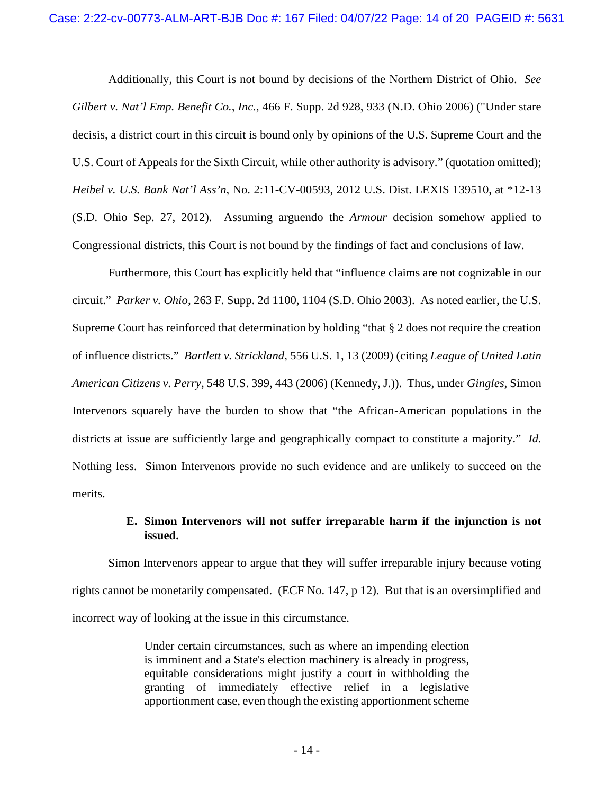Additionally, this Court is not bound by decisions of the Northern District of Ohio. *See Gilbert v. Nat'l Emp. Benefit Co., Inc.*, 466 F. Supp. 2d 928, 933 (N.D. Ohio 2006) ("Under stare decisis, a district court in this circuit is bound only by opinions of the U.S. Supreme Court and the U.S. Court of Appeals for the Sixth Circuit, while other authority is advisory." (quotation omitted); *Heibel v. U.S. Bank Nat'l Ass'n*, No. 2:11-CV-00593, 2012 U.S. Dist. LEXIS 139510, at \*12-13 (S.D. Ohio Sep. 27, 2012). Assuming arguendo the *Armour* decision somehow applied to Congressional districts, this Court is not bound by the findings of fact and conclusions of law.

Furthermore, this Court has explicitly held that "influence claims are not cognizable in our circuit." *Parker v. Ohio*, 263 F. Supp. 2d 1100, 1104 (S.D. Ohio 2003). As noted earlier, the U.S. Supreme Court has reinforced that determination by holding "that § 2 does not require the creation of influence districts." *Bartlett v. Strickland*, 556 U.S. 1, 13 (2009) (citing *League of United Latin American Citizens v. Perry*, 548 U.S. 399, 443 (2006) (Kennedy, J.)). Thus, under *Gingles*, Simon Intervenors squarely have the burden to show that "the African-American populations in the districts at issue are sufficiently large and geographically compact to constitute a majority." *Id.* Nothing less. Simon Intervenors provide no such evidence and are unlikely to succeed on the merits.

# **E. Simon Intervenors will not suffer irreparable harm if the injunction is not issued.**

Simon Intervenors appear to argue that they will suffer irreparable injury because voting rights cannot be monetarily compensated. (ECF No. 147, p 12). But that is an oversimplified and incorrect way of looking at the issue in this circumstance.

> Under certain circumstances, such as where an impending election is imminent and a State's election machinery is already in progress, equitable considerations might justify a court in withholding the granting of immediately effective relief in a legislative apportionment case, even though the existing apportionment scheme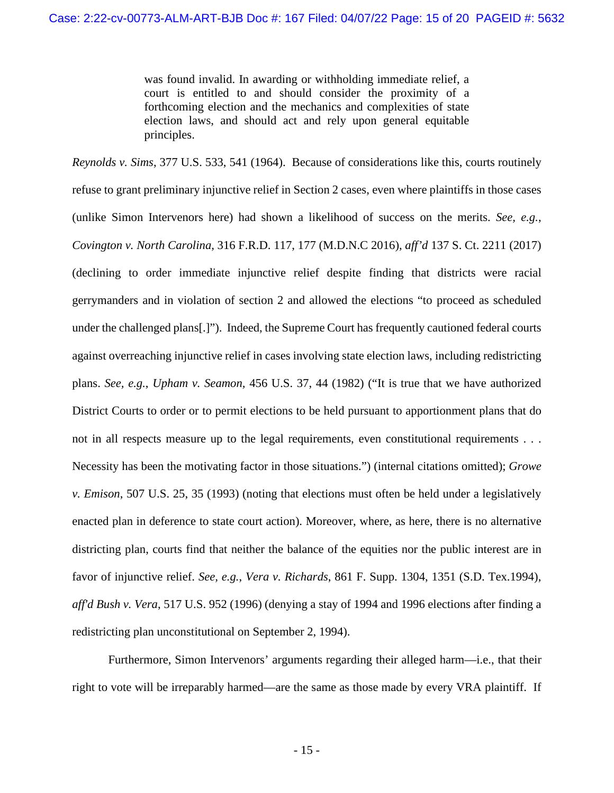was found invalid. In awarding or withholding immediate relief, a court is entitled to and should consider the proximity of a forthcoming election and the mechanics and complexities of state election laws, and should act and rely upon general equitable principles.

*Reynolds v. Sims*, 377 U.S. 533, 541 (1964). Because of considerations like this, courts routinely refuse to grant preliminary injunctive relief in Section 2 cases, even where plaintiffs in those cases (unlike Simon Intervenors here) had shown a likelihood of success on the merits. *See, e.g.*, *Covington v. North Carolina*, 316 F.R.D. 117, 177 (M.D.N.C 2016), *aff'd* 137 S. Ct. 2211 (2017) (declining to order immediate injunctive relief despite finding that districts were racial gerrymanders and in violation of section 2 and allowed the elections "to proceed as scheduled under the challenged plans[.]"). Indeed, the Supreme Court has frequently cautioned federal courts against overreaching injunctive relief in cases involving state election laws, including redistricting plans. *See, e.g.*, *Upham v. Seamon,* 456 U.S. 37, 44 (1982) ("It is true that we have authorized District Courts to order or to permit elections to be held pursuant to apportionment plans that do not in all respects measure up to the legal requirements, even constitutional requirements . . . Necessity has been the motivating factor in those situations.") (internal citations omitted); *Growe v. Emison*, 507 U.S. 25, 35 (1993) (noting that elections must often be held under a legislatively enacted plan in deference to state court action). Moreover, where, as here, there is no alternative districting plan, courts find that neither the balance of the equities nor the public interest are in favor of injunctive relief. *See, e.g.*, *Vera v. Richards*, 861 F. Supp. 1304, 1351 (S.D. Tex.1994), *aff'd Bush v. Vera*, 517 U.S. 952 (1996) (denying a stay of 1994 and 1996 elections after finding a redistricting plan unconstitutional on September 2, 1994).

Furthermore, Simon Intervenors' arguments regarding their alleged harm—i.e., that their right to vote will be irreparably harmed—are the same as those made by every VRA plaintiff. If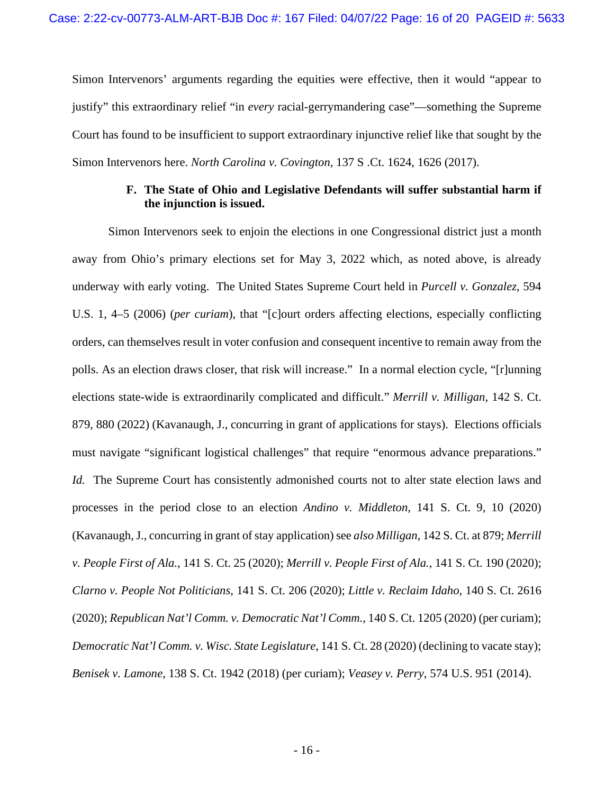Simon Intervenors' arguments regarding the equities were effective, then it would "appear to justify" this extraordinary relief "in *every* racial-gerrymandering case"—something the Supreme Court has found to be insufficient to support extraordinary injunctive relief like that sought by the Simon Intervenors here. *North Carolina v. Covington*, 137 S .Ct. 1624, 1626 (2017).

### **F. The State of Ohio and Legislative Defendants will suffer substantial harm if the injunction is issued.**

Simon Intervenors seek to enjoin the elections in one Congressional district just a month away from Ohio's primary elections set for May 3, 2022 which, as noted above, is already underway with early voting. The United States Supreme Court held in *Purcell v. Gonzalez*, 594 U.S. 1, 4–5 (2006) (*per curiam*), that "[c]ourt orders affecting elections, especially conflicting orders, can themselves result in voter confusion and consequent incentive to remain away from the polls. As an election draws closer, that risk will increase." In a normal election cycle, "[r]unning elections state-wide is extraordinarily complicated and difficult." *Merrill v. Milligan*, 142 S. Ct. 879, 880 (2022) (Kavanaugh, J., concurring in grant of applications for stays). Elections officials must navigate "significant logistical challenges" that require "enormous advance preparations." *Id.* The Supreme Court has consistently admonished courts not to alter state election laws and processes in the period close to an election *Andino v. Middleton*, 141 S. Ct. 9, 10 (2020) (Kavanaugh, J., concurring in grant of stay application) see *also Milligan*, 142 S. Ct. at 879; *Merrill v. People First of Ala.*, 141 S. Ct. 25 (2020); *Merrill v. People First of Ala.*, 141 S. Ct. 190 (2020); *Clarno v. People Not Politicians*, 141 S. Ct. 206 (2020); *Little v. Reclaim Idaho*, 140 S. Ct. 2616 (2020); *Republican Nat'l Comm. v. Democratic Nat'l Comm.*, 140 S. Ct. 1205 (2020) (per curiam); *Democratic Nat'l Comm. v. Wisc. State Legislature*, 141 S. Ct. 28 (2020) (declining to vacate stay); *Benisek v. Lamone*, 138 S. Ct. 1942 (2018) (per curiam); *Veasey v. Perry*, 574 U.S. 951 (2014).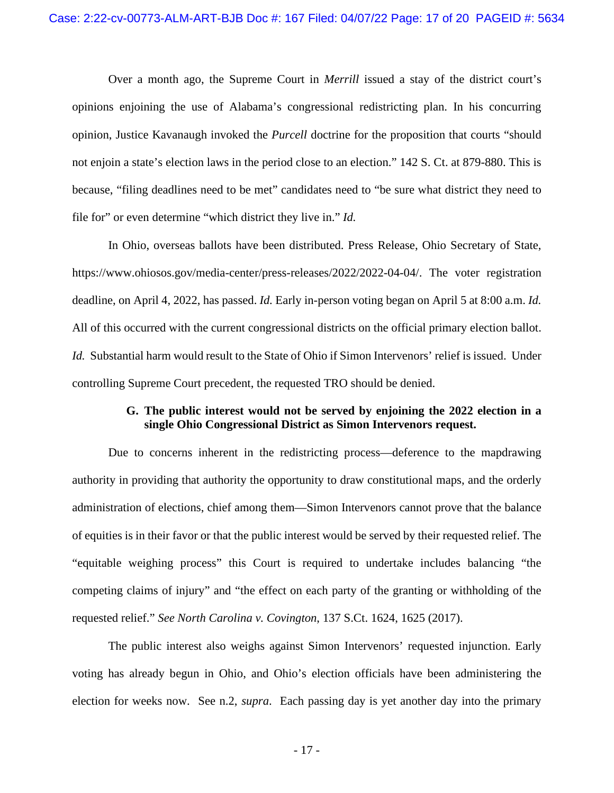Over a month ago, the Supreme Court in *Merrill* issued a stay of the district court's opinions enjoining the use of Alabama's congressional redistricting plan. In his concurring opinion, Justice Kavanaugh invoked the *Purcell* doctrine for the proposition that courts "should not enjoin a state's election laws in the period close to an election." 142 S. Ct. at 879-880. This is because, "filing deadlines need to be met" candidates need to "be sure what district they need to file for" or even determine "which district they live in." *Id.*

In Ohio, overseas ballots have been distributed. Press Release, Ohio Secretary of State, https://www.ohiosos.gov/media-center/press-releases/2022/2022-04-04/. The voter registration deadline, on April 4, 2022, has passed. *Id.* Early in-person voting began on April 5 at 8:00 a.m. *Id.*  All of this occurred with the current congressional districts on the official primary election ballot. *Id.* Substantial harm would result to the State of Ohio if Simon Intervenors' relief is issued. Under controlling Supreme Court precedent, the requested TRO should be denied.

## **G. The public interest would not be served by enjoining the 2022 election in a single Ohio Congressional District as Simon Intervenors request.**

Due to concerns inherent in the redistricting process—deference to the mapdrawing authority in providing that authority the opportunity to draw constitutional maps, and the orderly administration of elections, chief among them—Simon Intervenors cannot prove that the balance of equities is in their favor or that the public interest would be served by their requested relief. The "equitable weighing process" this Court is required to undertake includes balancing "the competing claims of injury" and "the effect on each party of the granting or withholding of the requested relief." *See North Carolina v. Covington*, 137 S.Ct. 1624, 1625 (2017).

The public interest also weighs against Simon Intervenors' requested injunction. Early voting has already begun in Ohio, and Ohio's election officials have been administering the election for weeks now. See n.2, *supra*. Each passing day is yet another day into the primary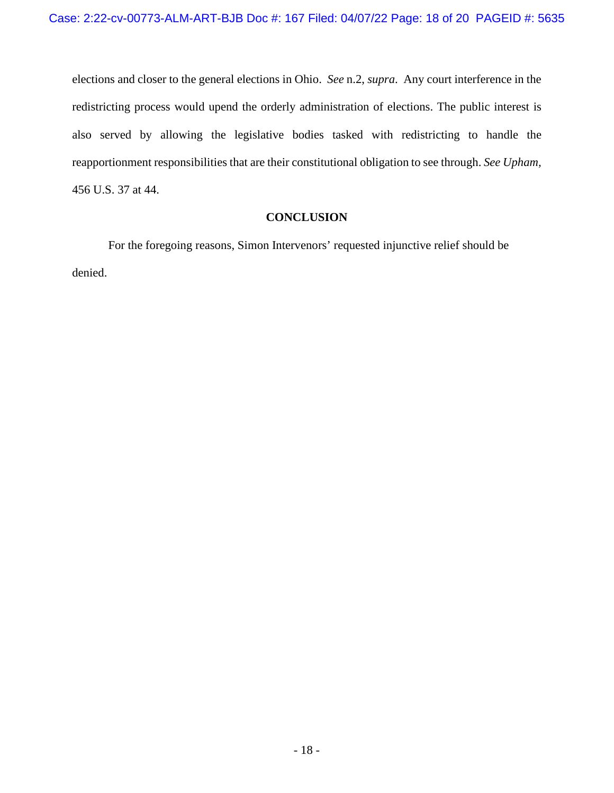elections and closer to the general elections in Ohio. *See* n.2, *supra*. Any court interference in the redistricting process would upend the orderly administration of elections. The public interest is also served by allowing the legislative bodies tasked with redistricting to handle the reapportionment responsibilities that are their constitutional obligation to see through. *See Upham,*  456 U.S. 37 at 44.

## **CONCLUSION**

For the foregoing reasons, Simon Intervenors' requested injunctive relief should be denied.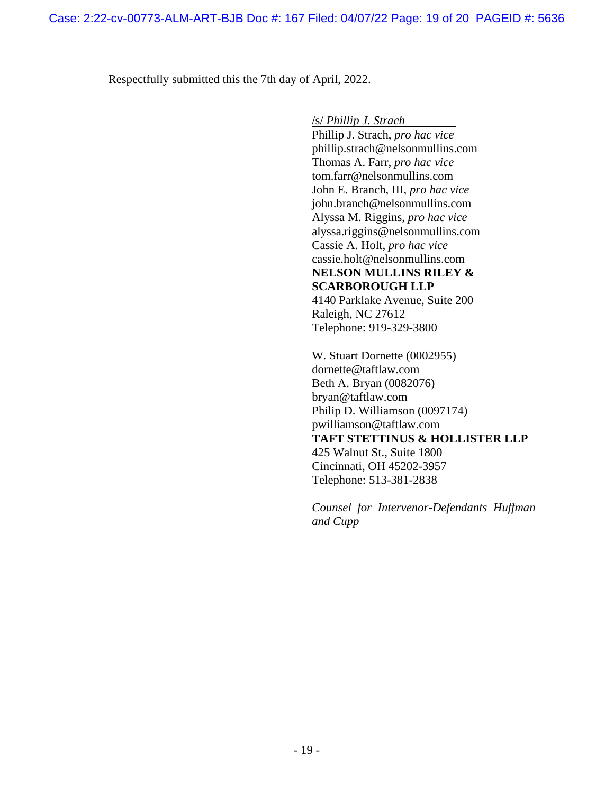Respectfully submitted this the 7th day of April, 2022.

/s/ *Phillip J. Strach*

Phillip J. Strach, *pro hac vice*  phillip.strach@nelsonmullins.com Thomas A. Farr, *pro hac vice* tom.farr@nelsonmullins.com John E. Branch, III, *pro hac vice* john.branch@nelsonmullins.com Alyssa M. Riggins, *pro hac vice* alyssa.riggins@nelsonmullins.com Cassie A. Holt, *pro hac vice* cassie.holt@nelsonmullins.com **NELSON MULLINS RILEY & SCARBOROUGH LLP**  4140 Parklake Avenue, Suite 200 Raleigh, NC 27612 Telephone: 919-329-3800

W. Stuart Dornette (0002955) dornette@taftlaw.com Beth A. Bryan (0082076) bryan@taftlaw.com Philip D. Williamson (0097174) pwilliamson@taftlaw.com **TAFT STETTINUS & HOLLISTER LLP**  425 Walnut St., Suite 1800 Cincinnati, OH 45202-3957 Telephone: 513-381-2838

*Counsel for Intervenor-Defendants Huffman and Cupp*